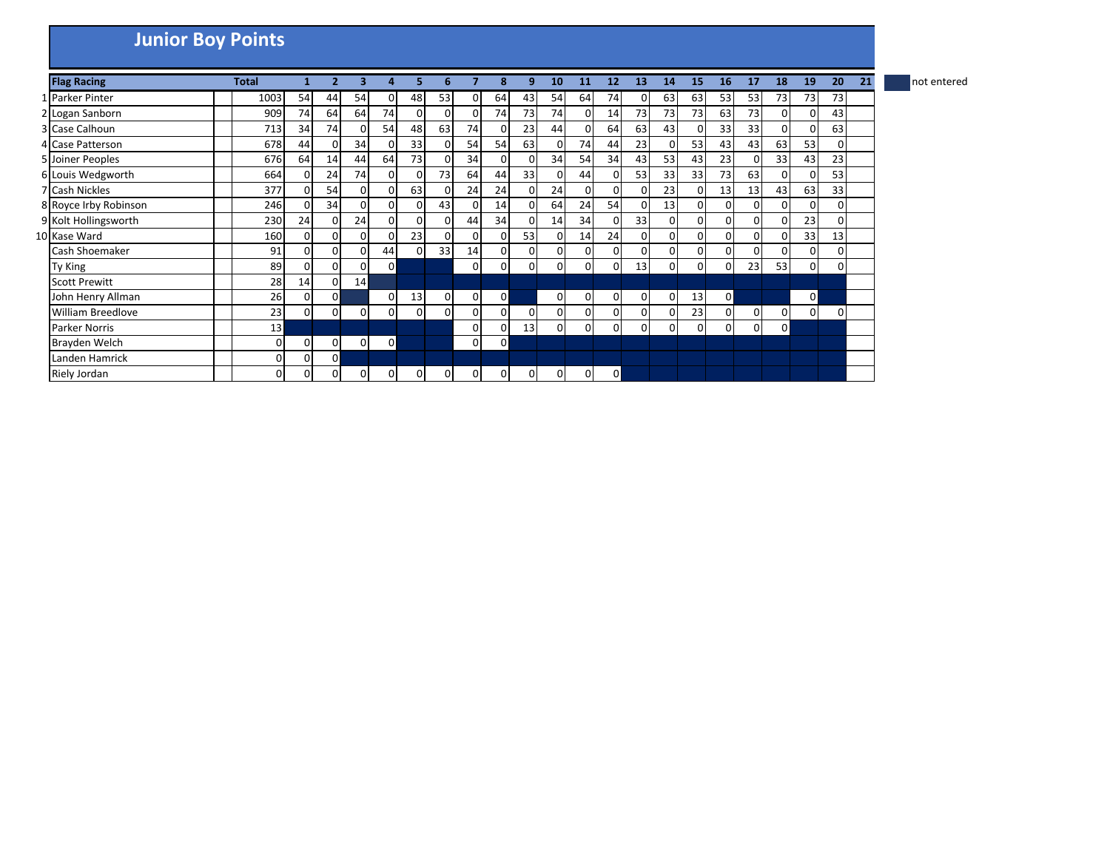## **Junior Boy Points**

| <b>Flag Racing</b>       | <b>Total</b> |                |          |                |                |          |          |                | 8              | q        | 10 | 11             | 12             | 13             | 14 | 15             | <b>16</b>      | 17       | 18           | 19           | 20 | 21 | not entered |
|--------------------------|--------------|----------------|----------|----------------|----------------|----------|----------|----------------|----------------|----------|----|----------------|----------------|----------------|----|----------------|----------------|----------|--------------|--------------|----|----|-------------|
| 1 Parker Pinter          | 1003         | 54             | 44       | 54             | $\Omega$       | 48       | 53       | $\Omega$       | 64             | 43       | 54 | 64             | 74             | ΟI             | 63 | 63             | 53             | 53       | 73           | 73           | 73 |    |             |
| 2 Logan Sanborn          | 909          | 74             | 64       | 64             | 74             | 0        | 0        | $\Omega$       | 74             | 73       | 74 | $\overline{0}$ | 14             | 73             | 73 | 73             | 63             | 73       | 0            |              | 43 |    |             |
| 3 Case Calhoun           | 713          | 34             | 74       | $\overline{0}$ | 54             | 48       | 63       | 74             | 0              | 23       | 44 | $\Omega$       | 64             | 63             | 43 | $\Omega$       | 33             | 33       | $\Omega$     |              | 63 |    |             |
| 4 Case Patterson         | 678          | 44             | ΩI       | 34             |                | 33       | o        | 54             | 54             | 63       | 0  | 74             | 44             | 23             | ΟI | 53             | 43             | 43       | 63           | 53           | 0  |    |             |
| 5 Joiner Peoples         | 676          | 64             | 14       | 44             | 64             | 73       |          | 34             |                | 0        | 34 | 54             | 34             | 43             | 53 | 43             | 23             | $\Omega$ | 33           | 43           | 23 |    |             |
| 6 Louis Wedgworth        | 664          | $\Omega$       | 24       | 74             |                | 0        | 73       | 64             | 44             | 33       | 0  | 44             | 0              | 53             | 33 | 33             | 73             | 63       | 0            |              | 53 |    |             |
| 7 Cash Nickles           | 377          | $\Omega$       | 54       | $\Omega$       |                | 63       |          | 24             | 24             | $\Omega$ | 24 | $\Omega$       | $\Omega$       | $\Omega$       | 23 | $\Omega$       | 13             | 13       | 43           | 63           | 33 |    |             |
| 8 Royce Irby Robinson    | 246          | $\Omega$       | 34       | $\Omega$       | $\Omega$       | 0        | 43       | $\Omega$       | 14             | 0        | 64 | 24             | 54             | $\Omega$       | 13 | $\Omega$       | $\overline{0}$ | $\Omega$ | $\Omega$     |              | 0  |    |             |
| 9 Kolt Hollingsworth     | 230          | 24             | 0        | 24             | $\overline{0}$ | 0        |          | 44             | 34             | 0        | 14 | 34             | 0              | 33             | 0  | $\overline{0}$ | $\overline{0}$ | 01       | $\Omega$     | 23           | 0  |    |             |
| 10 Kase Ward             | 160          | $\Omega$       | 0        | $\Omega$       |                | 23       | o        | $\Omega$       |                | 53       | 0  | 14             | 24             | 0              | οI | $\Omega$       | $\Omega$       | $\Omega$ | $\Omega$     | 33           | 13 |    |             |
| <b>Cash Shoemaker</b>    | 91           | 0              | 0        | $\overline{0}$ | 44             | 0        | 33       | 14             | 0              | 0        | 0  | $\Omega$       | 0              | $\Omega$       | 01 | $\overline{0}$ | $\overline{0}$ | 0        | 0            |              | 0  |    |             |
| Ty King                  | 89           | $\Omega$       | $\Omega$ | $\Omega$       | $\mathbf 0$    |          |          | $\mathbf{0}$   | 0              | 0        | 0  | $\Omega$       | 0              | 13             | οı | $\Omega$       | 0              | 23       | 53           | 0            | 0  |    |             |
| <b>Scott Prewitt</b>     | 28           | 14             | 01       | 14             |                |          |          |                |                |          |    |                |                |                |    |                |                |          |              |              |    |    |             |
| John Henry Allman        | 26           | 0              | ΟI       |                | 0              | 13       | 0        | $\overline{0}$ | $\overline{0}$ |          | 0  | $\mathbf{0}$   | $\mathbf{0}$   | $\overline{0}$ | 0  | 13             | $\mathsf{O}$   |          |              | $\mathbf{0}$ |    |    |             |
| <b>William Breedlove</b> | 23           | $\overline{0}$ | 0        | $\overline{0}$ | $\overline{0}$ | 0        | 0        | $\mathbf{0}$   | 0              | $\Omega$ | 0  | $\Omega$       | $\Omega$       | $\Omega$       | οı | 23             | $\overline{0}$ | $\Omega$ | 0            | 0            | 0  |    |             |
| <b>Parker Norris</b>     | 13           |                |          |                |                |          |          | $\mathbf{0}$   | 0              | 13       | 0  | $\Omega$       | $\Omega$       | ΟI             | οI | $\Omega$       | $\overline{0}$ | $\Omega$ | $\mathbf{0}$ |              |    |    |             |
| Brayden Welch            | 0            | 0              | 01       | $\overline{0}$ | $\mathbf 0$    |          |          | $\overline{0}$ | $\overline{0}$ |          |    |                |                |                |    |                |                |          |              |              |    |    |             |
| Landen Hamrick           | 0            | $\Omega$       | 0        |                |                |          |          |                |                |          |    |                |                |                |    |                |                |          |              |              |    |    |             |
| Riely Jordan             | 0            | 0              | 0        | $\overline{0}$ | $\Omega$       | $\Omega$ | $\Omega$ | $\Omega$       | 0              | $\Omega$ | ΩI | $\Omega$       | $\overline{0}$ |                |    |                |                |          |              |              |    |    |             |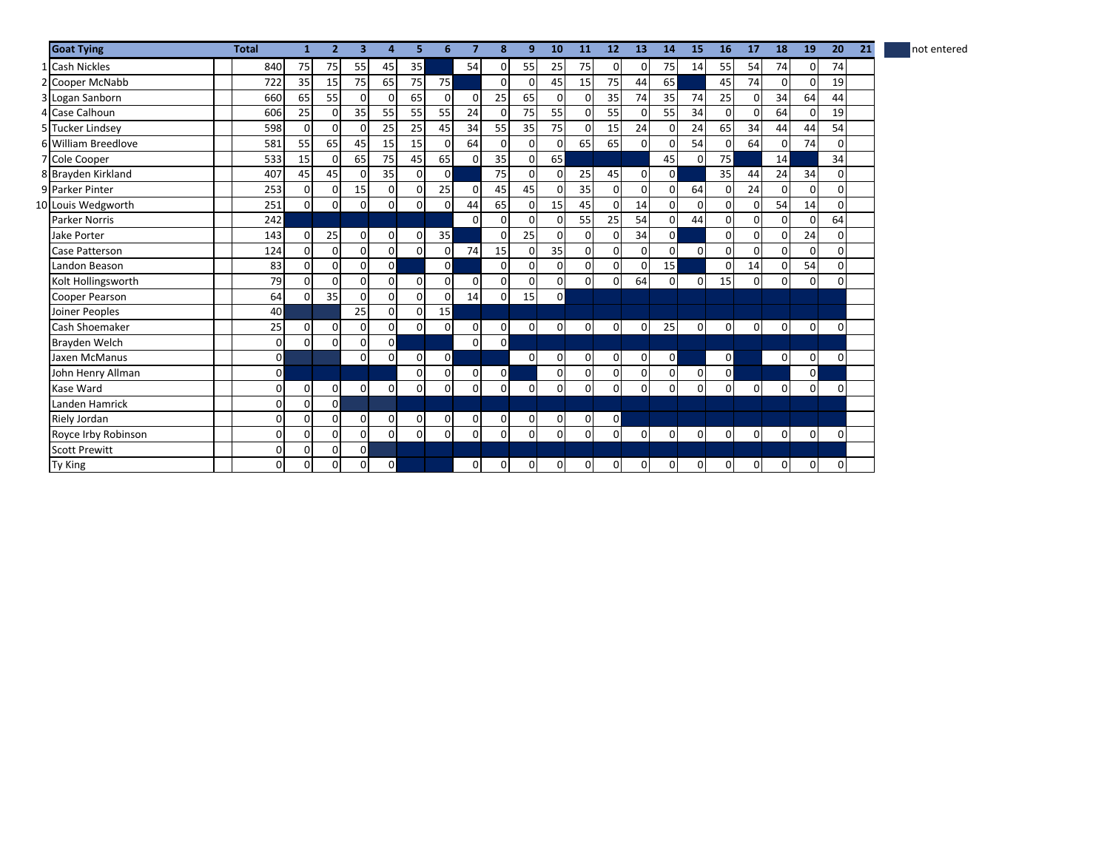| Inot entered |
|--------------|
|--------------|

| <b>Goat Tying</b>    | <b>Total</b>   | $\mathbf{1}$   | $\overline{2}$ | $\overline{\mathbf{3}}$ | $\overline{a}$ | 5           | 6              | 7              | 8              | 9              | 10             | 11             | 12             | 13             | 14             | 15             | 16             | 17             | 18             | 19             | 20          | 21 | not entered |
|----------------------|----------------|----------------|----------------|-------------------------|----------------|-------------|----------------|----------------|----------------|----------------|----------------|----------------|----------------|----------------|----------------|----------------|----------------|----------------|----------------|----------------|-------------|----|-------------|
| 1 Cash Nickles       | 840            | 75             | 75             | 55                      | 45             | 35          |                | 54             | $\Omega$       | 55             | 25             | 75             | $\Omega$       | $\Omega$       | 75             | 14             | 55             | 54             | 74             | $\Omega$       | 74          |    |             |
| 2 Cooper McNabb      | 722            | 35             | 15             | 75                      | 65             | 75          | 75             |                | $\Omega$       | $\Omega$       | 45             | 15             | 75             | 44             | 65             |                | 45             | 74             | $\Omega$       | $\Omega$       | 19          |    |             |
| 3 Logan Sanborn      | 660            | 65             | 55             | $\mathbf{0}$            | $\Omega$       | 65          | $\Omega$       | $\mathbf{0}$   | 25             | 65             | 0              | $\mathbf 0$    | 35             | 74             | 35             | 74             | 25             | 0              | 34             | 64             | 44          |    |             |
| 4 Case Calhoun       | 606            | 25             | $\Omega$       | 35                      | 55             | 55          | 55             | 24             | $\Omega$       | 75             | 55             | $\Omega$       | 55             | $\Omega$       | 55             | 34             | $\Omega$       | $\Omega$       | 64             | $\Omega$       | 19          |    |             |
| 5 Tucker Lindsey     | 598            | $\mathbf{0}$   | $\Omega$       | $\overline{0}$          | 25             | 25          | 45             | 34             | 55             | 35             | 75             | $\Omega$       | 15             | 24             | 0              | 24             | 65             | 34             | 44             | 44             | 54          |    |             |
| 6 William Breedlove  | 581            | 55             | 65             | 45                      | 15             | 15          | $\Omega$       | 64             | $\Omega$       | $\mathbf 0$    | 0              | 65             | 65             | $\overline{0}$ | $\mathsf{o}$   | 54             | 0              | 64             | 0              | 74             | $\mathbf 0$ |    |             |
| 7 Cole Cooper        | 533            | 15             | $\Omega$       | 65                      | 75             | 45          | 65             | $\Omega$       | 35             | $\Omega$       | 65             |                |                |                | 45             | $\Omega$       | 75             |                | 14             |                | 34          |    |             |
| 8 Brayden Kirkland   | 407            | 45             | 45             | $\mathbf 0$             | 35             | $\mathbf 0$ | $\Omega$       |                | 75             | 0              | 0              | 25             | 45             | $\overline{0}$ | $\mathsf{o}$   |                | 35             | 44             | 24             | 34             | $\Omega$    |    |             |
| 9 Parker Pinter      | 253            | $\overline{0}$ | $\overline{0}$ | 15                      | $\mathbf 0$    | $\mathbf 0$ | 25             | $\Omega$       | 45             | 45             | 0              | 35             | $\Omega$       | $\overline{0}$ | $\overline{0}$ | 64             | 0              | 24             | $\Omega$       | $\Omega$       | 0           |    |             |
| 10 Louis Wedgworth   | 251            | $\Omega$       | $\Omega$       | $\mathbf 0$             | $\Omega$       | $\mathbf 0$ | 0              | 44             | 65             | $\Omega$       | 15             | 45             | 0              | 14             | $\Omega$       | $\Omega$       | $\Omega$       | U              | 54             | 14             | $\Omega$    |    |             |
| <b>Parker Norris</b> | 242            |                |                |                         |                |             |                | $\Omega$       | $\Omega$       | $\Omega$       | $\Omega$       | 55             | 25             | 54             | $\overline{0}$ | 44             | 0              | $\Omega$       | $\Omega$       | $\Omega$       | 64          |    |             |
| <b>Jake Porter</b>   | 143            | $\Omega$       | 25             | $\overline{0}$          | 0              | $\mathbf 0$ | 35             |                | $\Omega$       | 25             | 0              | $\Omega$       | $\Omega$       | 34             | $\Omega$       |                | $\Omega$       | $\Omega$       | 0              | 24             | 0           |    |             |
| Case Patterson       | 124            | $\Omega$       | $\Omega$       | $\mathbf{0}$            | $\Omega$       | $\Omega$    | 0              | 74             | 15             | $\Omega$       | 35             | $\Omega$       | $\Omega$       | $\Omega$       | οI             | $\Omega$       | $\Omega$       |                | 0              | $\Omega$       | $\Omega$    |    |             |
| Landon Beason        | 83             | $\Omega$       | $\Omega$       | $\mathbf{0}$            | $\mathbf 0$    |             | $\Omega$       |                | $\Omega$       | $\Omega$       | $\Omega$       | $\Omega$       | $\Omega$       | $\Omega$       | 15             |                | $\mathbf 0$    | 14             | 0              | 54             | 0           |    |             |
| Kolt Hollingsworth   | 79             | $\Omega$       | $\Omega$       | $\Omega$                | $\Omega$       | $\Omega$    | $\Omega$       | $\Omega$       | $\Omega$       | $\Omega$       | <sub>0</sub>   | $\Omega$       | $\Omega$       | 64             | $\Omega$       | $\Omega$       | 15             | $\Omega$       | 0              | $\Omega$       | $\Omega$    |    |             |
| Cooper Pearson       | 64             | $\overline{0}$ | 35             | $\mathbf 0$             | 0              | $\Omega$    | ŋ              | 14             | $\overline{0}$ | 15             | $\mathbf{0}$   |                |                |                |                |                |                |                |                |                |             |    |             |
| Joiner Peoples       | 40             |                |                | 25                      | $\Omega$       | $\mathbf 0$ | 15             |                |                |                |                |                |                |                |                |                |                |                |                |                |             |    |             |
| Cash Shoemaker       | 25             | $\overline{0}$ | 0              | $\mathbf{0}$            | $\overline{0}$ | $\mathbf 0$ | 0              | $\overline{0}$ | $\mathbf{0}$   | $\overline{0}$ | $\overline{0}$ | $\mathbf{0}$   | $\overline{0}$ | $\overline{0}$ | 25             | $\overline{0}$ | 0              | $\overline{0}$ | $\overline{0}$ | $\overline{0}$ | 0           |    |             |
| Brayden Welch        | $\overline{0}$ | $\Omega$       | $\Omega$       | 0                       | $\Omega$       |             |                | $\overline{0}$ | $\overline{0}$ |                |                |                |                |                |                |                |                |                |                |                |             |    |             |
| Jaxen McManus        | $\mathsf{o}$   |                |                | $\mathbf{0}$            | 0              | $\mathbf 0$ | $\overline{0}$ |                |                | $\Omega$       | 0              | $\mathbf 0$    | $\overline{0}$ | $\overline{0}$ | $\mathsf{o}$   |                | $\mathsf{o}$   |                | $\overline{0}$ | 0              | 0           |    |             |
| John Henry Allman    | $\mathsf{o}$   |                |                |                         |                | $\Omega$    | 0              | $\overline{0}$ | $\overline{0}$ |                | 0              | $\mathbf 0$    | $\Omega$       | 0              | $\mathsf{o}$   | $\overline{0}$ | $\mathsf{o}$   |                |                | $\overline{0}$ |             |    |             |
| Kase Ward            | $\Omega$       | $\mathbf 0$    | $\mathbf 0$    | $\mathbf 0$             | $\mathbf 0$    | 0           | 0              | $\mathbf{0}$   | 0              | 0              | 0              | $\mathbf 0$    | $\mathbf 0$    | $\mathsf{o}$   | $\mathsf{o}$   | $\overline{0}$ | $\overline{0}$ | $\Omega$       | $\overline{0}$ | $\Omega$       | 0           |    |             |
| Landen Hamrick       | $\Omega$       | $\Omega$       | $\circ$        |                         |                |             |                |                |                |                |                |                |                |                |                |                |                |                |                |                |             |    |             |
| Riely Jordan         | $\Omega$       | $\mathbf{0}$   | $\Omega$       | $\mathbf{0}$            | $\mathbf 0$    | 0           | 0              | $\mathbf{0}$   | $\mathbf{0}$   | 0              | 0              | $\overline{0}$ | $\overline{0}$ |                |                |                |                |                |                |                |             |    |             |
| Royce Irby Robinson  | $\Omega$       | $\Omega$       | $\Omega$       | $\mathbf 0$             | $\Omega$       | 0           | $\mathbf 0$    | $\overline{0}$ | $\Omega$       | 0              | $\Omega$       | $\mathbf 0$    | $\overline{0}$ | 0l             | 0              | $\overline{0}$ | $\overline{0}$ | $\Omega$       | $\overline{0}$ | $\mathbf 0$    | 0           |    |             |
| <b>Scott Prewitt</b> | $\overline{0}$ | $\mathbf 0$    | $\overline{0}$ | $\mathbf 0$             |                |             |                |                |                |                |                |                |                |                |                |                |                |                |                |                |             |    |             |
| Ty King              | $\mathbf{0}$   | $\mathbf{0}$   | 0              | $\mathbf 0$             | $\overline{0}$ |             |                | $\overline{0}$ | $\mathbf{0}$   | $\overline{0}$ | 0              | $\overline{0}$ | 0              | 01             | 0              | $\overline{0}$ | $\mathbf{0}$   | $\overline{0}$ | 0              | $\overline{0}$ | $\mathbf 0$ |    |             |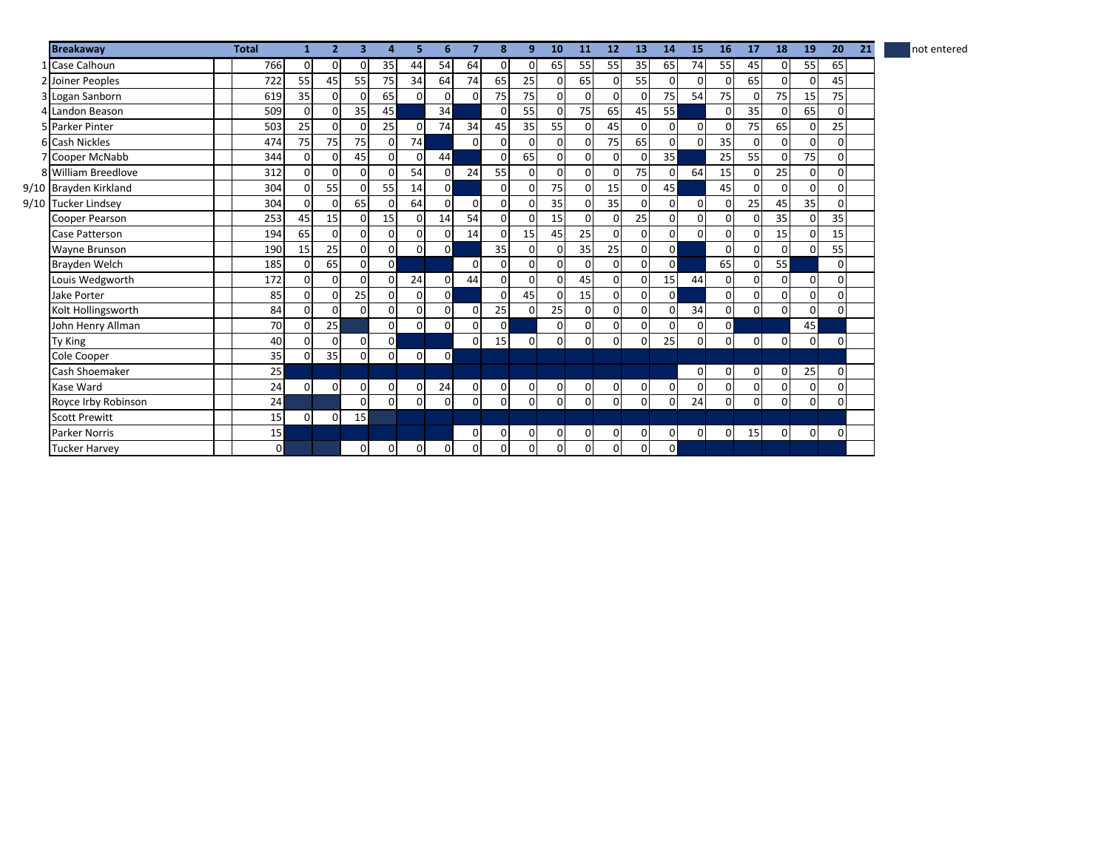| Inot entered |
|--------------|
|              |

| <b>Breakaway</b>      | <b>Total</b>   | 1              | $\overline{2}$ | 3            | 4              | 5              | 6              | 7              | 8              | 9            | 10             | <b>11</b>      | 12           | 13             | 14             | 15          | 16           | 17             | 18             | 19             | 20          | 21 | not entered |
|-----------------------|----------------|----------------|----------------|--------------|----------------|----------------|----------------|----------------|----------------|--------------|----------------|----------------|--------------|----------------|----------------|-------------|--------------|----------------|----------------|----------------|-------------|----|-------------|
| 1 Case Calhoun        | 766            | $\overline{0}$ | 0              | ŋ            | 35             | 44             | 54             | 64             | $\Omega$       | $\mathbf{0}$ | 65             | 55             | 55           | 35             | 65             | 74          | 55           | 45             | $\mathbf 0$    | 55             | 65          |    |             |
| 2 Joiner Peoples      | 722            | 55             | 45             | 55           | 75             | 34             | 64             | 74             | 65             | 25           | $\overline{0}$ | 65             |              | 55             | 0              | $\Omega$    | $\Omega$     | 65             | $\Omega$       | 0              | 45          |    |             |
| 3 Logan Sanborn       | 619            | 35             | $\Omega$       |              | 65             | $\Omega$       | $\Omega$       | $\Omega$       | 75             | 75           | $\Omega$       | $\Omega$       |              | $\Omega$       | 75             | 54          | 75           | $\Omega$       | 75             | 15             | 75          |    |             |
| 4 Landon Beason       | 509            | $\Omega$       | ŋ              | 35           | 45             |                | 34             |                | $\Omega$       | 55           | $\Omega$       | 75             | 65           | 45             | 55             |             | 0            | 35             | $\Omega$       | 65             | $\Omega$    |    |             |
| 5 Parker Pinter       | 503            | 25             | $\Omega$       | $\Omega$     | 25             | $\overline{0}$ | 74             | 34             | 45             | 35           | 55             | 0              | 45           | $\Omega$       | 0              | $\mathbf 0$ | $\Omega$     | 75             | 65             | $\Omega$       | 25          |    |             |
| 6 Cash Nickles        | 474            | 75             | 75             | 75           | $\Omega$       | 74             |                | $\Omega$       | $\Omega$       | $\Omega$     | $\Omega$       | $\Omega$       | 75           | 65             | $\Omega$       | $\Omega$    | 35           | $\Omega$       | $\Omega$       | $\Omega$       | $\Omega$    |    |             |
| 7 Cooper McNabb       | 344            | 0              | $\Omega$       | 45           | 0              | 0              | 44             |                | $\Omega$       | 65           | <sub>0</sub>   | 0              |              | 0              | 35             |             | 25           | 55             | $\Omega$       | 75             | $\Omega$    |    |             |
| 8 William Breedlove   | 312            | $\Omega$       | $\Omega$       |              | $\Omega$       | 54             | $\Omega$       | 24             | 55             | $\Omega$     | $\Omega$       | $\Omega$       |              | 75             |                | 64          | 15           | $\overline{0}$ | 25             |                | $\Omega$    |    |             |
| 9/10 Brayden Kirkland | 304            | $\Omega$       | 55             |              | 55             | 14             | $\Omega$       |                | $\Omega$       | $\Omega$     | 75             | $\Omega$       | 15           | $\Omega$       | 45             |             | 45           | $\Omega$       | $\Omega$       | 0              | $\Omega$    |    |             |
| 9/10 Tucker Lindsey   | 304            | $\mathbf{0}$   | $\Omega$       | 65           | 0              | 64             | $\Omega$       | $\mathbf 0$    | $\overline{0}$ | $\mathbf 0$  | 35             | $\Omega$       | 35           | $\Omega$       | $\Omega$       | $\mathbf 0$ |              | 25             | 45             | 35             | $\Omega$    |    |             |
| Cooper Pearson        | 253            | 45             | 15             |              | 15             | $\overline{0}$ | 14             | 54             | $\Omega$       | $\Omega$     | 15             | $\Omega$       | <sup>n</sup> | 25             | $\Omega$       | 0           | 0            | $\Omega$       | 35             | 0              | 35          |    |             |
| Case Patterson        | 194            | 65             | $\Omega$       |              | 0              | 0              | $\mathbf 0$    | 14             | $\Omega$       | 15           | 45             | 25             |              | $\Omega$       | 0              | $\Omega$    |              | 0              | 15             | 0              | 15          |    |             |
| Wayne Brunson         | 190            | 15             | 25             |              | 0              | $\mathsf{o}$   | $\overline{0}$ |                | 35             | $\Omega$     | $\Omega$       | 35             | 25           | $\Omega$       | $\mathsf{o}$   |             | $\Omega$     | $\Omega$       | $\Omega$       |                | 55          |    |             |
| Brayden Welch         | 185            | $\Omega$       | 65             | <sup>0</sup> | $\mathsf{o}$   |                |                | $\Omega$       | $\Omega$       | $\Omega$     | $\Omega$       | $\Omega$       | $\Omega$     | $\Omega$       | $\mathbf{0}$   |             | 65           | $\mathbf{0}$   | 55             |                | $\Omega$    |    |             |
| Louis Wedgworth       | 172            | $\Omega$       | $\Omega$       |              | $\Omega$       | 24             | $\overline{0}$ | 44             | $\Omega$       | $\Omega$     | $\mathbf{0}$   | 45             |              | $\Omega$       | 15             | 44          | 0            | 0              | $\Omega$       | $\Omega$       | $\Omega$    |    |             |
| Jake Porter           | 85             | $\Omega$       | $\Omega$       | 25           | $\Omega$       | $\overline{0}$ | $\Omega$       |                | $\Omega$       | 45           | $\mathbf{0}$   | 15             | $\Omega$     | $\mathbf 0$    | $\Omega$       |             | $\Omega$     | $\mathbf{0}$   | $\Omega$       | $\Omega$       | $\Omega$    |    |             |
| Kolt Hollingsworth    | 84             | $\Omega$       | 0              |              | $\overline{0}$ | $\mathsf{o}$   | $\overline{0}$ | $\Omega$       | 25             | $\Omega$     | 25             | $\Omega$       |              | $\Omega$       |                | 34          | 0            | $\mathbf{0}$   | $\Omega$       | 0              | 0           |    |             |
| John Henry Allman     | 70             | $\Omega$       | 25             |              | 0              | $\mathsf{o}$   | $\Omega$       | $\Omega$       | $\Omega$       |              | $\mathbf{0}$   | $\Omega$       | $\Omega$     | $\Omega$       | 0              | $\Omega$    | $\mathsf{o}$ |                |                | 45             |             |    |             |
| Ty King               | 40             | $\Omega$       | $\Omega$       | $\Omega$     | $\mathsf{o}$   |                |                | $\Omega$       | 15             | $\mathbf 0$  | $\overline{0}$ | $\Omega$       | $\Omega$     | $\Omega$       | 25             | $\Omega$    | 0            | $\mathbf{0}$   | $\overline{0}$ | $\overline{0}$ | $\mathbf 0$ |    |             |
| Cole Cooper           | 35             | $\Omega$       | 35             | 0            | $\Omega$       | $\overline{0}$ | $\mathbf{0}$   |                |                |              |                |                |              |                |                |             |              |                |                |                |             |    |             |
| Cash Shoemaker        | 25             |                |                |              |                |                |                |                |                |              |                |                |              |                |                | 0           | 0            | $\mathbf{0}$   | $\mathbf{0}$   | 25             | 0           |    |             |
| Kase Ward             | 24             | $\Omega$       | $\mathbf 0$    | $\Omega$     | 0              | 0              | 24             | 0              | $\overline{0}$ | $\mathbf 0$  | $\mathbf 0$    | $\mathbf 0$    | $\Omega$     | $\overline{0}$ | $\Omega$       | $\mathbf 0$ |              | $\overline{0}$ | $\mathbf{0}$   | 0              | 0           |    |             |
| Royce Irby Robinson   | 24             |                |                | ŋ            | 0              | $\overline{0}$ | $\overline{0}$ | $\mathbf 0$    | $\Omega$       | 0            | $\mathbf{0}$   | 0              | $\Omega$     | 0              | 0              | 24          | 0            | $\overline{0}$ | $\mathbf{0}$   | $\overline{0}$ | 0           |    |             |
| <b>Scott Prewitt</b>  | 15             | $\Omega$       | $\mathbf 0$    | 15           |                |                |                |                |                |              |                |                |              |                |                |             |              |                |                |                |             |    |             |
| <b>Parker Norris</b>  | 15             |                |                |              |                |                |                | 0              | $\overline{0}$ | $\mathbf 0$  | $\overline{0}$ | $\overline{0}$ | $\Omega$     | $\overline{0}$ | $\overline{0}$ | $\mathbf 0$ | $\Omega$     | 15             | $\mathbf{0}$   | $\mathbf{0}$   | $\mathbf 0$ |    |             |
| <b>Tucker Harvey</b>  | $\overline{0}$ |                |                | 0            | $\mathbf{0}$   | 0              | $\overline{0}$ | $\overline{0}$ | $\overline{0}$ | $\mathbf 0$  | 0              | 0              | $\Omega$     | 0              | $\mathsf{o}$   |             |              |                |                |                |             |    |             |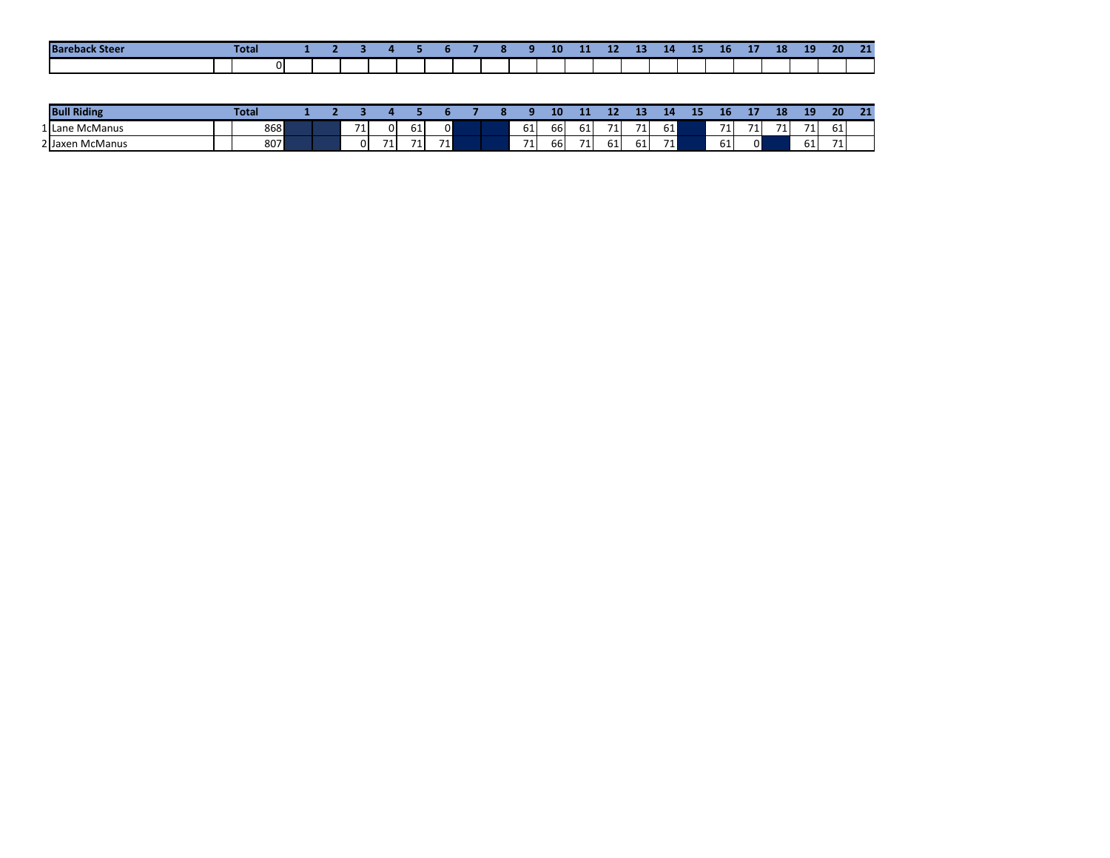| <b>Bar</b><br>------ | <b>Total</b> |  |  |  |  | . | 10 | 11 | 12 | -- | 14 | 15 | - -<br>16 | <b>CALL 1979</b><br> | 18 | 10<br>-- | 20 | 21 |
|----------------------|--------------|--|--|--|--|---|----|----|----|----|----|----|-----------|----------------------|----|----------|----|----|
|                      |              |  |  |  |  |   |    |    |    |    |    |    |           |                      |    |          |    |    |

| <b>Bull Riding</b> | Total |  |                                  |    |         |                 |  |     | 10  | . . |             | . . |    | --- | ÆО |    | 18       | 10<br>-- | 20           | 21<br>- |
|--------------------|-------|--|----------------------------------|----|---------|-----------------|--|-----|-----|-----|-------------|-----|----|-----|----|----|----------|----------|--------------|---------|
| 1 Lane McManus     | 868   |  | $-1$<br>$\overline{\phantom{a}}$ |    |         |                 |  | 61  | 661 | 61  | $-14$<br>л. | 71  | 61 |     | 71 | 71 | 71<br>-4 | 71       | $\sim$<br>61 |         |
| 2 Jaxen McManus    | 807   |  | 0l                               | 71 | 74<br>ı | 71 <sub>h</sub> |  | 71. | bb  | 71  | oт          | 61  | 71 |     | 61 | 01 |          | 61       | 74<br>․ ⊥    |         |